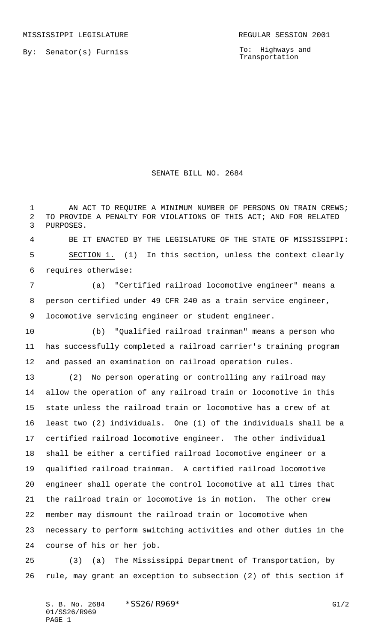To: Highways and Transportation

## SENATE BILL NO. 2684

1 AN ACT TO REQUIRE A MINIMUM NUMBER OF PERSONS ON TRAIN CREWS; TO PROVIDE A PENALTY FOR VIOLATIONS OF THIS ACT; AND FOR RELATED PURPOSES.

 BE IT ENACTED BY THE LEGISLATURE OF THE STATE OF MISSISSIPPI: SECTION 1. (1) In this section, unless the context clearly requires otherwise:

 (a) "Certified railroad locomotive engineer" means a person certified under 49 CFR 240 as a train service engineer, locomotive servicing engineer or student engineer.

 (b) "Qualified railroad trainman" means a person who has successfully completed a railroad carrier's training program and passed an examination on railroad operation rules.

 (2) No person operating or controlling any railroad may allow the operation of any railroad train or locomotive in this state unless the railroad train or locomotive has a crew of at least two (2) individuals. One (1) of the individuals shall be a certified railroad locomotive engineer. The other individual shall be either a certified railroad locomotive engineer or a qualified railroad trainman. A certified railroad locomotive engineer shall operate the control locomotive at all times that the railroad train or locomotive is in motion. The other crew member may dismount the railroad train or locomotive when necessary to perform switching activities and other duties in the course of his or her job.

 (3) (a) The Mississippi Department of Transportation, by rule, may grant an exception to subsection (2) of this section if